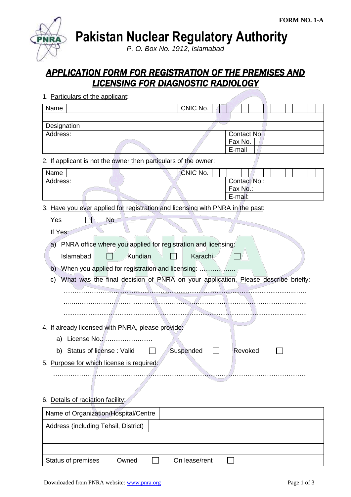**Pakistan Nuclear Regulatory Authority**

*P. O. Box No. 1912, Islamabad*

# *APPLICATION FORM FOR REGISTRATION OF THE PREMISES AND LICENSING FOR DIAGNOSTIC RADIOLOGY*

| 1. Particulars of the applicant:                                                        |               |              |
|-----------------------------------------------------------------------------------------|---------------|--------------|
| Name                                                                                    | CNIC No.      |              |
|                                                                                         |               |              |
| Designation                                                                             |               |              |
| Address:                                                                                |               | Contact No.  |
|                                                                                         |               | Fax No.      |
|                                                                                         |               | E-mail       |
| 2. If applicant is not the owner then particulars of the owner:                         |               |              |
| Name                                                                                    | CNIC No.      |              |
| Address:                                                                                |               | Contact No.: |
|                                                                                         |               | Fax No.:     |
|                                                                                         |               | E-mail:      |
| 3. Have you ever applied for registration and licensing with PNRA in the past:          |               |              |
| <b>No</b><br>Yes                                                                        |               |              |
| If Yes:                                                                                 |               |              |
|                                                                                         |               |              |
| PNRA office where you applied for registration and licensing:<br>a)                     |               |              |
| Kundian<br>Islamabad                                                                    | Karachi       |              |
| b)                                                                                      |               |              |
| What was the final decision of PNRA on your application. Please describe briefly:<br>C) |               |              |
|                                                                                         |               |              |
|                                                                                         |               |              |
|                                                                                         |               |              |
|                                                                                         |               |              |
| 4. If already licensed with PNRA, please provide:                                       |               |              |
| License No.:<br>a)                                                                      |               |              |
| Status of license: Valid<br>b)                                                          | Suspended     | Revoked      |
| 5. Purpose for which license is required:                                               |               |              |
|                                                                                         |               |              |
|                                                                                         |               |              |
|                                                                                         |               |              |
| 6. Details of radiation facility:                                                       |               |              |
| Name of Organization/Hospital/Centre                                                    |               |              |
| Address (including Tehsil, District)                                                    |               |              |
|                                                                                         |               |              |
|                                                                                         |               |              |
| Status of premises<br>Owned                                                             | On lease/rent |              |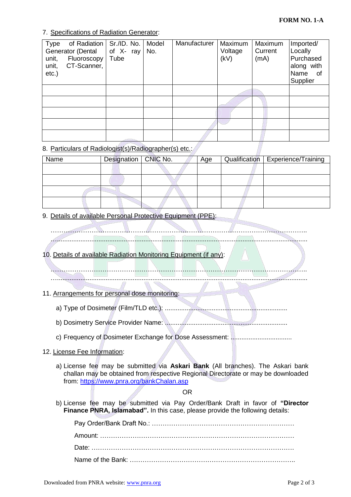### 7. Specifications of Radiation Generator:

| Type<br>unit,<br>unit,<br>$etc.$ ) | of Radiation<br>Generator (Dental<br>Fluoroscopy<br>CT-Scanner, | Sr./ID. No.<br>of X-ray<br>Tube | Model<br>No. | Manufacturer | Maximum<br>Voltage<br>(kV) | Maximum<br>Current<br>(mA) | Imported/<br>Locally<br>Purchased<br>along with<br>Name<br>of<br>Supplier |
|------------------------------------|-----------------------------------------------------------------|---------------------------------|--------------|--------------|----------------------------|----------------------------|---------------------------------------------------------------------------|
|                                    |                                                                 |                                 |              |              |                            |                            |                                                                           |
|                                    |                                                                 |                                 |              |              |                            |                            |                                                                           |
|                                    |                                                                 |                                 |              |              |                            |                            |                                                                           |
|                                    |                                                                 |                                 |              |              |                            |                            |                                                                           |
|                                    |                                                                 |                                 |              |              |                            |                            |                                                                           |

## 8. Particulars of Radiologist(s)/Radiographer(s) etc.:

| Name | Designation CNIC No. | Age | Qualification   Experience/Training |
|------|----------------------|-----|-------------------------------------|
|      |                      |     |                                     |
|      |                      |     |                                     |
|      |                      |     |                                     |
|      |                      |     |                                     |

9. Details of available Personal Protective Equipment (PPE):

- ……………………………………………………………………………………………………….. …...........................................................................................................................................
- 10. Details of available Radiation Monitoring Equipment (if any):
	- ………………………………………………………………………………………………………..
	- …...........................................................................................................................................

### 11. Arrangements for personal dose monitoring:

- a) Type of Dosimeter (Film/TLD etc.): ....................................................................
- b) Dosimetry Service Provider Name: ....................................................................
- c) Frequency of Dosimeter Exchange for Dose Assessment: ..................................

### 12. License Fee Information:

a) License fee may be submitted via **Askari Bank** (All branches). The Askari bank challan may be obtained from respective Regional Directorate or may be downloaded from:<https://www.pnra.org/bankChalan.asp>

#### OR

b) License fee may be submitted via Pay Order/Bank Draft in favor of **"Director Finance PNRA, Islamabad".** In this case, please provide the following details: